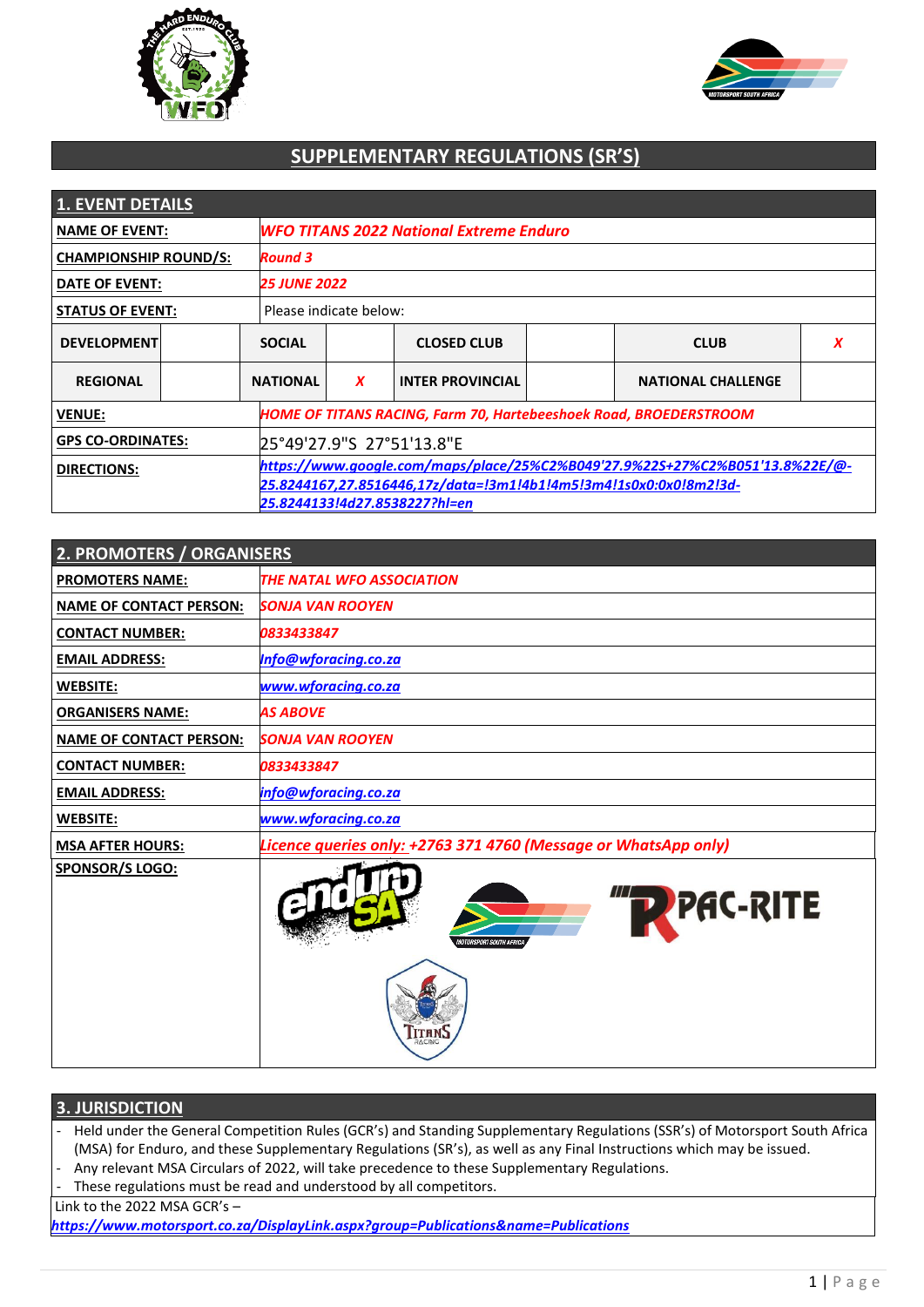



# **SUPPLEMENTARY REGULATIONS (SR'S)**

| <b>1. EVENT DETAILS</b>      |  |                 |                                                                                                    |                         |  |                           |   |
|------------------------------|--|-----------------|----------------------------------------------------------------------------------------------------|-------------------------|--|---------------------------|---|
| <b>NAME OF EVENT:</b>        |  |                 | <b>WFO TITANS 2022 National Extreme Enduro</b>                                                     |                         |  |                           |   |
| <b>CHAMPIONSHIP ROUND/S:</b> |  | <b>Round 3</b>  |                                                                                                    |                         |  |                           |   |
| DATE OF EVENT:               |  |                 | <b>25 JUNE 2022</b>                                                                                |                         |  |                           |   |
| <b>STATUS OF EVENT:</b>      |  |                 | Please indicate below:                                                                             |                         |  |                           |   |
| <b>DEVELOPMENT</b>           |  | <b>SOCIAL</b>   |                                                                                                    | <b>CLOSED CLUB</b>      |  | <b>CLUB</b>               | x |
| <b>REGIONAL</b>              |  | <b>NATIONAL</b> | $\boldsymbol{x}$                                                                                   | <b>INTER PROVINCIAL</b> |  | <b>NATIONAL CHALLENGE</b> |   |
| <b>VENUE:</b>                |  |                 | <b>HOME OF TITANS RACING, Farm 70, Hartebeeshoek Road, BROEDERSTROOM</b>                           |                         |  |                           |   |
| <b>GPS CO-ORDINATES:</b>     |  |                 | 25°49'27.9"S 27°51'13.8"E                                                                          |                         |  |                           |   |
| <b>DIRECTIONS:</b>           |  |                 | https://www.qoogle.com/maps/place/25%C2%B049'27.9%22S+27%C2%B051'13.8%22E/@-                       |                         |  |                           |   |
|                              |  |                 | 25.8244167,27.8516446,17z/data=!3m1!4b1!4m5!3m4!1s0x0:0x0!8m2!3d-<br>25.8244133!4d27.8538227?hl=en |                         |  |                           |   |

| 2. PROMOTERS / ORGANISERS      |                                                                 |
|--------------------------------|-----------------------------------------------------------------|
| <b>PROMOTERS NAME:</b>         | <b>THE NATAL WFO ASSOCIATION</b>                                |
| <b>NAME OF CONTACT PERSON:</b> | <b>SONJA VAN ROOYEN</b>                                         |
| <b>CONTACT NUMBER:</b>         | 0833433847                                                      |
| <b>EMAIL ADDRESS:</b>          | Info@wforacing.co.za                                            |
| <b>WEBSITE:</b>                | www.wforacing.co.za                                             |
| <b>ORGANISERS NAME:</b>        | <b>AS ABOVE</b>                                                 |
| <b>NAME OF CONTACT PERSON:</b> | <b>SONJA VAN ROOYEN</b>                                         |
| <b>CONTACT NUMBER:</b>         | 0833433847                                                      |
| <b>EMAIL ADDRESS:</b>          | info@wforacing.co.za                                            |
| <b>WEBSITE:</b>                | www.wforacing.co.za                                             |
| <b>MSA AFTER HOURS:</b>        | Licence queries only: +2763 371 4760 (Message or WhatsApp only) |
| <b>SPONSOR/S LOGO:</b>         | <b>PAC-RITE</b><br>WOTORSPORT SOUTH AFRICA                      |
|                                | <b>ACINO</b>                                                    |

### **3. JURISDICTION**

- Held under the General Competition Rules (GCR's) and Standing Supplementary Regulations (SSR's) of Motorsport South Africa (MSA) for Enduro, and these Supplementary Regulations (SR's), as well as any Final Instructions which may be issued.
- Any relevant MSA Circulars of 2022, will take precedence to these Supplementary Regulations.
- These regulations must be read and understood by all competitors.

Link to the 2022 MSA GCR's –

*<https://www.motorsport.co.za/DisplayLink.aspx?group=Publications&name=Publications>*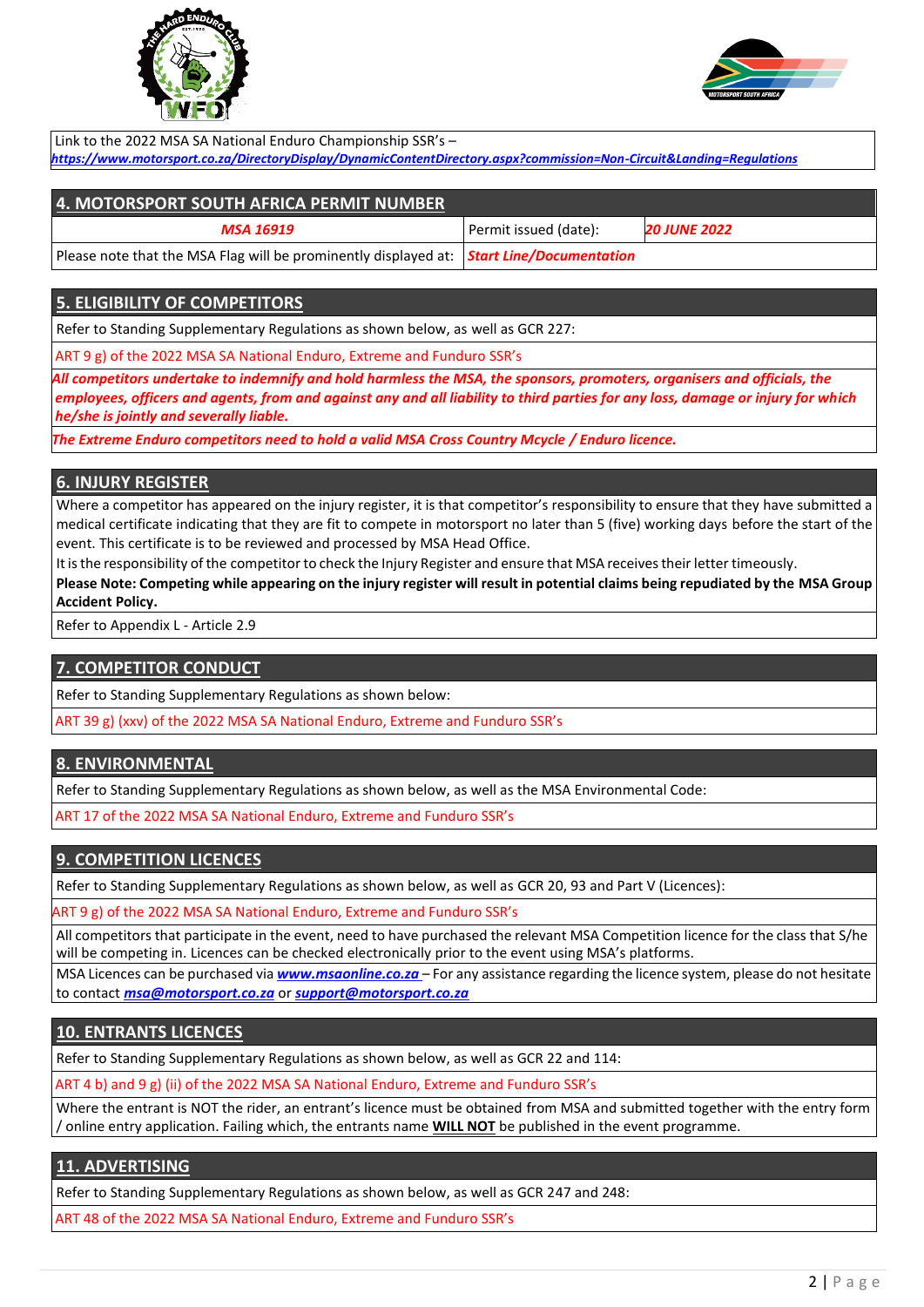



Link to the 2022 MSA SA National Enduro Championship SSR's – *<https://www.motorsport.co.za/DirectoryDisplay/DynamicContentDirectory.aspx?commission=Non-Circuit&Landing=Regulations>*

| <b>4. MOTORSPORT SOUTH AFRICA PERMIT NUMBER</b>                                                                    |                       |                     |
|--------------------------------------------------------------------------------------------------------------------|-----------------------|---------------------|
| MSA 16919                                                                                                          | Permit issued (date): | <b>20 JUNE 2022</b> |
| Please note that the MSA Flag will be prominently displayed at: $\frac{\text{Start Line/Documentation}}{\text{+}}$ |                       |                     |

## **5. ELIGIBILITY OF COMPETITORS**

Refer to Standing Supplementary Regulations as shown below, as well as GCR 227:

ART 9 g) of the 2022 MSA SA National Enduro, Extreme and Funduro SSR's

*All competitors undertake to indemnify and hold harmless the MSA, the sponsors, promoters, organisers and officials, the employees, officers and agents, from and against any and all liability to third parties for any loss, damage or injury for which he/she is jointly and severally liable.*

*The Extreme Enduro competitors need to hold a valid MSA Cross Country Mcycle / Enduro licence.*

#### **6. INJURY REGISTER**

Where a competitor has appeared on the injury register, it is that competitor's responsibility to ensure that they have submitted a medical certificate indicating that they are fit to compete in motorsport no later than 5 (five) working days before the start of the event. This certificate is to be reviewed and processed by MSA Head Office.

It is the responsibility of the competitor to check the Injury Register and ensure that MSA receives their letter timeously.

**Please Note: Competing while appearing on the injury register will result in potential claims being repudiated by the MSA Group Accident Policy.**

Refer to Appendix L - Article 2.9

### **7. COMPETITOR CONDUCT**

Refer to Standing Supplementary Regulations as shown below:

ART 39 g) (xxv) of the 2022 MSA SA National Enduro, Extreme and Funduro SSR's

### **8. ENVIRONMENTAL**

Refer to Standing Supplementary Regulations as shown below, as well as the MSA Environmental Code:

ART 17 of the 2022 MSA SA National Enduro, Extreme and Funduro SSR's

## **9. COMPETITION LICENCES**

Refer to Standing Supplementary Regulations as shown below, as well as GCR 20, 93 and Part V (Licences):

ART 9 g) of the 2022 MSA SA National Enduro, Extreme and Funduro SSR's

All competitors that participate in the event, need to have purchased the relevant MSA Competition licence for the class that S/he will be competing in. Licences can be checked electronically prior to the event using MSA's platforms.

MSA Licences can be purchased via *www.msaonline.co.za* – For any assistance regarding the licence system, please do not hesitate to contact *[msa@motorsport.co.za](mailto:msa@motorsport.co.za)* or *[support@motorsport.co.za](mailto:support@motorsport.co.za)*

### **10. ENTRANTS LICENCES**

Refer to Standing Supplementary Regulations as shown below, as well as GCR 22 and 114:

ART 4 b) and 9 g) (ii) of the 2022 MSA SA National Enduro, Extreme and Funduro SSR's

Where the entrant is NOT the rider, an entrant's licence must be obtained from MSA and submitted together with the entry form / online entry application. Failing which, the entrants name **WILL NOT** be published in the event programme.

### **11. ADVERTISING**

Refer to Standing Supplementary Regulations as shown below, as well as GCR 247 and 248:

ART 48 of the 2022 MSA SA National Enduro, Extreme and Funduro SSR's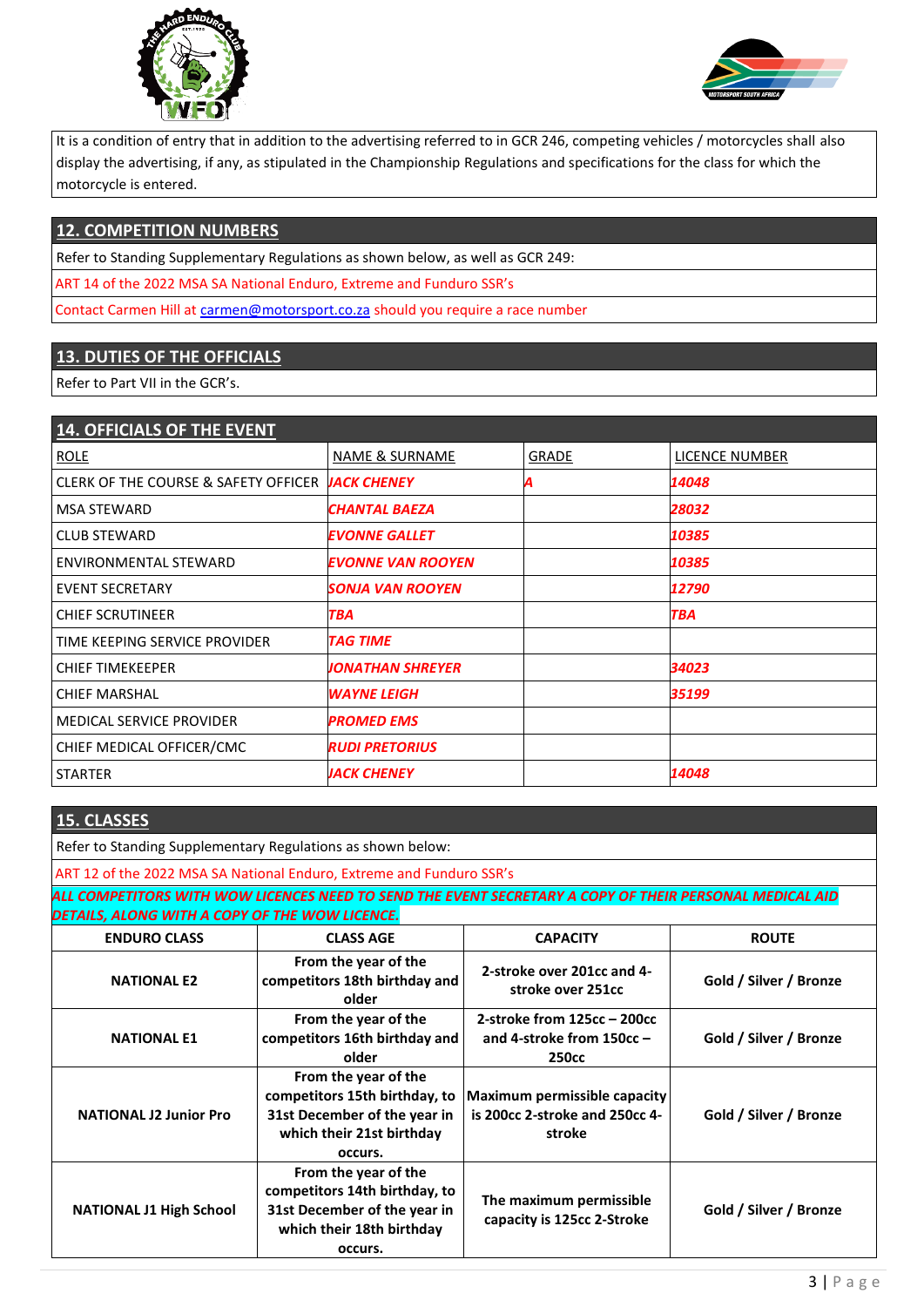



It is a condition of entry that in addition to the advertising referred to in GCR 246, competing vehicles / motorcycles shall also display the advertising, if any, as stipulated in the Championship Regulations and specifications for the class for which the motorcycle is entered.

# **12. COMPETITION NUMBERS**

Refer to Standing Supplementary Regulations as shown below, as well as GCR 249:

ART 14 of the 2022 MSA SA National Enduro, Extreme and Funduro SSR's

Contact Carmen Hill at [carmen@motorsport.co.za](mailto:carmen@motorsport.co.za) should you require a race number

# **13. DUTIES OF THE OFFICIALS**

Refer to Part VII in the GCR's.

| <b>14. OFFICIALS OF THE EVENT</b>    |                          |              |                |
|--------------------------------------|--------------------------|--------------|----------------|
| <b>ROLE</b>                          | NAME & SURNAME           | <b>GRADE</b> | LICENCE NUMBER |
| CLERK OF THE COURSE & SAFETY OFFICER | <b>JACK CHENEY</b>       | A            | 14048          |
| <b>MSA STEWARD</b>                   | <b>CHANTAL BAEZA</b>     |              | 28032          |
| <b>CLUB STEWARD</b>                  | <b>EVONNE GALLET</b>     |              | 10385          |
| ENVIRONMENTAL STEWARD                | <b>EVONNE VAN ROOYEN</b> |              | 10385          |
| <b>EVENT SECRETARY</b>               | SONJA VAN ROOYEN         |              | 12790          |
| <b>CHIEF SCRUTINEER</b>              | TBA                      |              | <b>TBA</b>     |
| TIME KEEPING SERVICE PROVIDER        | <b>TAG TIME</b>          |              |                |
| <b>CHIEF TIMEKEEPER</b>              | <b>JONATHAN SHREYER</b>  |              | 34023          |
| <b>CHIEF MARSHAL</b>                 | <b>WAYNE LEIGH</b>       |              | 35199          |
| <b>MEDICAL SERVICE PROVIDER</b>      | <b>PROMED EMS</b>        |              |                |
| CHIEF MEDICAL OFFICER/CMC            | <b>RUDI PRETORIUS</b>    |              |                |
| <b>STARTER</b>                       | <b>JACK CHENEY</b>       |              | 14048          |
|                                      |                          |              |                |

| <b>15. CLASSES</b>                                                                                                                                        |                                                                                                                               |                                                                                 |                        |  |  |  |
|-----------------------------------------------------------------------------------------------------------------------------------------------------------|-------------------------------------------------------------------------------------------------------------------------------|---------------------------------------------------------------------------------|------------------------|--|--|--|
|                                                                                                                                                           | Refer to Standing Supplementary Regulations as shown below:                                                                   |                                                                                 |                        |  |  |  |
|                                                                                                                                                           | ART 12 of the 2022 MSA SA National Enduro, Extreme and Funduro SSR's                                                          |                                                                                 |                        |  |  |  |
| ALL COMPETITORS WITH WOW LICENCES NEED TO SEND THE EVENT SECRETARY A COPY OF THEIR PERSONAL MEDICAL AID<br>DETAILS, ALONG WITH A COPY OF THE WOW LICENCE. |                                                                                                                               |                                                                                 |                        |  |  |  |
| <b>ENDURO CLASS</b>                                                                                                                                       | <b>CLASS AGE</b>                                                                                                              | <b>CAPACITY</b>                                                                 | <b>ROUTE</b>           |  |  |  |
| <b>NATIONAL E2</b>                                                                                                                                        | From the year of the<br>competitors 18th birthday and<br>older                                                                | 2-stroke over 201cc and 4-<br>stroke over 251cc                                 | Gold / Silver / Bronze |  |  |  |
| <b>NATIONAL E1</b>                                                                                                                                        | From the year of the<br>competitors 16th birthday and<br>older                                                                | 2-stroke from 125cc - 200cc<br>and 4-stroke from $150cc -$<br>250 <sub>cc</sub> | Gold / Silver / Bronze |  |  |  |
| <b>NATIONAL J2 Junior Pro</b>                                                                                                                             | From the year of the<br>competitors 15th birthday, to<br>31st December of the year in<br>which their 21st birthday<br>occurs. | Maximum permissible capacity<br>is 200cc 2-stroke and 250cc 4-<br>stroke        | Gold / Silver / Bronze |  |  |  |
| <b>NATIONAL J1 High School</b>                                                                                                                            | From the year of the<br>competitors 14th birthday, to<br>31st December of the year in<br>which their 18th birthday<br>occurs. | The maximum permissible<br>capacity is 125cc 2-Stroke                           | Gold / Silver / Bronze |  |  |  |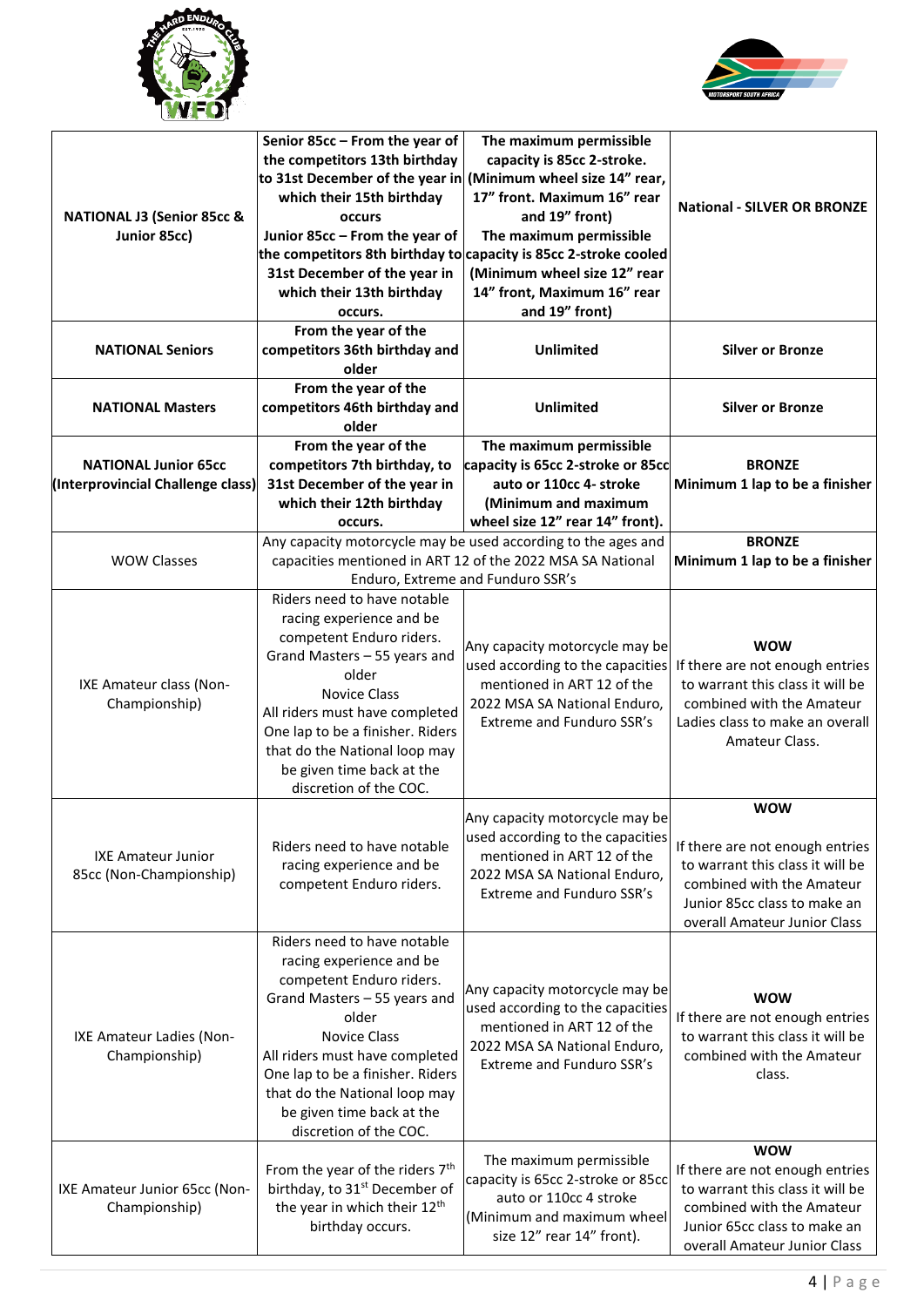



| <b>NATIONAL J3 (Senior 85cc &amp;</b><br>Junior 85cc)            | Senior 85cc - From the year of<br>the competitors 13th birthday<br>which their 15th birthday<br><b>occurs</b><br>Junior 85cc - From the year of<br>31st December of the year in<br>which their 13th birthday<br>occurs.                                                                                           | The maximum permissible<br>capacity is 85cc 2-stroke.<br>to 31st December of the year in (Minimum wheel size 14" rear,<br>17" front. Maximum 16" rear<br>and 19" front)<br>The maximum permissible<br>the competitors 8th birthday to capacity is 85cc 2-stroke cooled<br>(Minimum wheel size 12" rear<br>14" front, Maximum 16" rear<br>and 19" front) | <b>National - SILVER OR BRONZE</b>                                                                                                                                             |
|------------------------------------------------------------------|-------------------------------------------------------------------------------------------------------------------------------------------------------------------------------------------------------------------------------------------------------------------------------------------------------------------|---------------------------------------------------------------------------------------------------------------------------------------------------------------------------------------------------------------------------------------------------------------------------------------------------------------------------------------------------------|--------------------------------------------------------------------------------------------------------------------------------------------------------------------------------|
| <b>NATIONAL Seniors</b>                                          | From the year of the<br>competitors 36th birthday and<br>older                                                                                                                                                                                                                                                    | <b>Unlimited</b>                                                                                                                                                                                                                                                                                                                                        | <b>Silver or Bronze</b>                                                                                                                                                        |
| <b>NATIONAL Masters</b>                                          | From the year of the<br>competitors 46th birthday and<br>older                                                                                                                                                                                                                                                    | <b>Unlimited</b>                                                                                                                                                                                                                                                                                                                                        | <b>Silver or Bronze</b>                                                                                                                                                        |
| <b>NATIONAL Junior 65cc</b><br>(Interprovincial Challenge class) | From the year of the<br>competitors 7th birthday, to<br>31st December of the year in<br>which their 12th birthday<br>occurs.                                                                                                                                                                                      | The maximum permissible<br>capacity is 65cc 2-stroke or 85cc<br>auto or 110cc 4- stroke<br>(Minimum and maximum<br>wheel size 12" rear 14" front).                                                                                                                                                                                                      | <b>BRONZE</b><br>Minimum 1 lap to be a finisher                                                                                                                                |
| <b>WOW Classes</b>                                               |                                                                                                                                                                                                                                                                                                                   | Any capacity motorcycle may be used according to the ages and<br>capacities mentioned in ART 12 of the 2022 MSA SA National<br>Enduro, Extreme and Funduro SSR's                                                                                                                                                                                        | <b>BRONZE</b><br>Minimum 1 lap to be a finisher                                                                                                                                |
| IXE Amateur class (Non-<br>Championship)                         | Riders need to have notable<br>racing experience and be<br>competent Enduro riders.<br>Grand Masters - 55 years and<br>older<br><b>Novice Class</b><br>All riders must have completed<br>One lap to be a finisher. Riders<br>that do the National loop may<br>be given time back at the<br>discretion of the COC. | Any capacity motorcycle may be<br>used according to the capacities<br>mentioned in ART 12 of the<br>2022 MSA SA National Enduro,<br>Extreme and Funduro SSR's                                                                                                                                                                                           | <b>WOW</b><br>If there are not enough entries<br>to warrant this class it will be<br>combined with the Amateur<br>Ladies class to make an overall<br>Amateur Class.            |
| <b>IXE Amateur Junior</b><br>85cc (Non-Championship)             | Riders need to have notable<br>racing experience and be<br>competent Enduro riders.                                                                                                                                                                                                                               | Any capacity motorcycle may be<br>used according to the capacities<br>mentioned in ART 12 of the<br>2022 MSA SA National Enduro,<br>Extreme and Funduro SSR's                                                                                                                                                                                           | <b>WOW</b><br>If there are not enough entries<br>to warrant this class it will be<br>combined with the Amateur<br>Junior 85cc class to make an<br>overall Amateur Junior Class |
| IXE Amateur Ladies (Non-<br>Championship)                        | Riders need to have notable<br>racing experience and be<br>competent Enduro riders.<br>Grand Masters - 55 years and<br>older<br><b>Novice Class</b><br>All riders must have completed<br>One lap to be a finisher. Riders<br>that do the National loop may<br>be given time back at the<br>discretion of the COC. | Any capacity motorcycle may be<br>used according to the capacities<br>mentioned in ART 12 of the<br>2022 MSA SA National Enduro,<br>Extreme and Funduro SSR's                                                                                                                                                                                           | <b>WOW</b><br>If there are not enough entries<br>to warrant this class it will be<br>combined with the Amateur<br>class.                                                       |
| IXE Amateur Junior 65cc (Non-<br>Championship)                   | From the year of the riders 7 <sup>th</sup><br>birthday, to 31 <sup>st</sup> December of<br>the year in which their 12 <sup>th</sup><br>birthday occurs.                                                                                                                                                          | The maximum permissible<br>capacity is 65cc 2-stroke or 85cc<br>auto or 110cc 4 stroke<br>(Minimum and maximum wheel<br>size 12" rear 14" front).                                                                                                                                                                                                       | <b>WOW</b><br>If there are not enough entries<br>to warrant this class it will be<br>combined with the Amateur<br>Junior 65cc class to make an<br>overall Amateur Junior Class |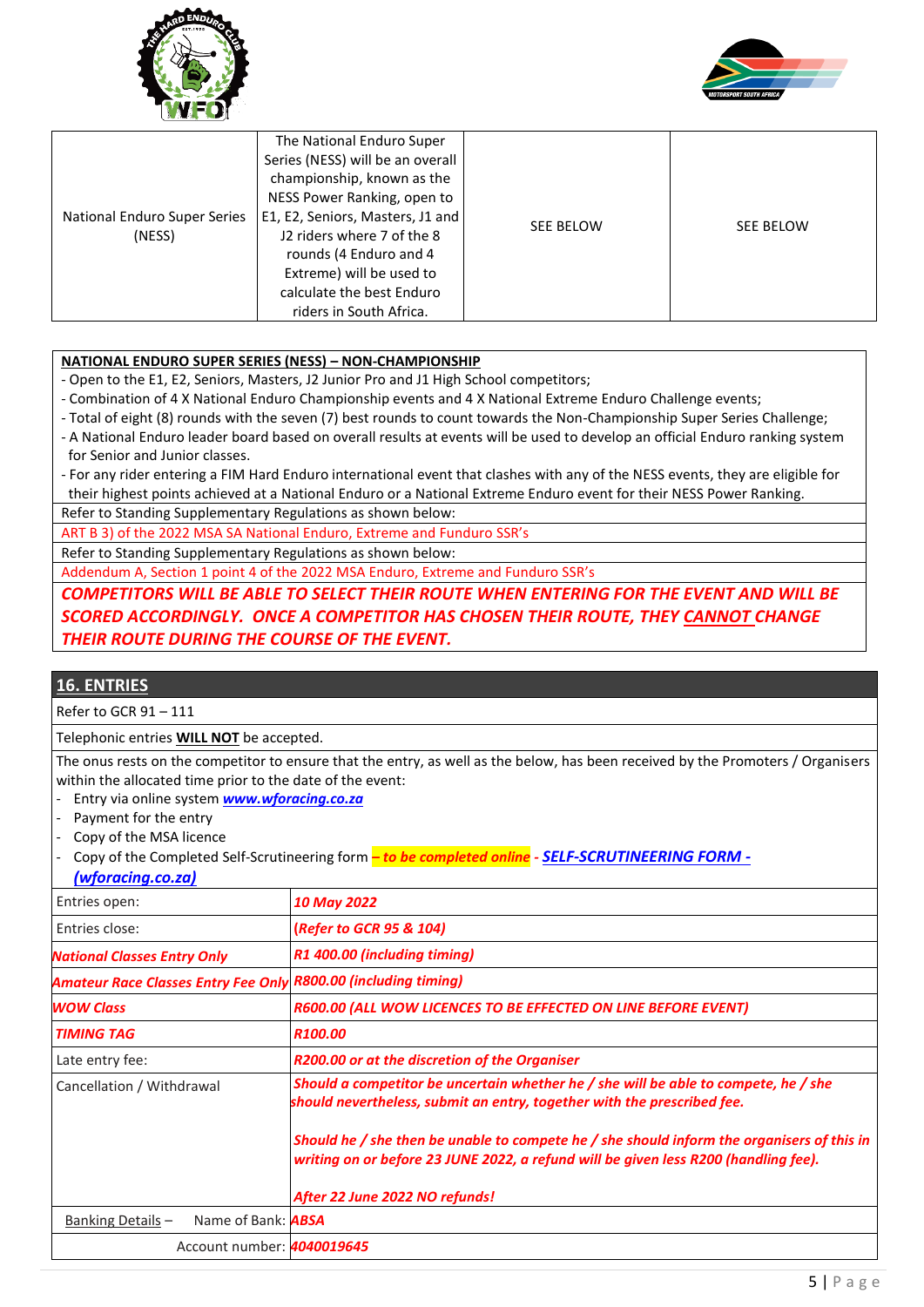



|                                        | The National Enduro Super        |           |                  |
|----------------------------------------|----------------------------------|-----------|------------------|
|                                        | Series (NESS) will be an overall |           |                  |
|                                        | championship, known as the       | SEE BELOW | <b>SEE BELOW</b> |
|                                        | NESS Power Ranking, open to      |           |                  |
| National Enduro Super Series<br>(NESS) | E1, E2, Seniors, Masters, J1 and |           |                  |
|                                        | J2 riders where 7 of the 8       |           |                  |
|                                        | rounds (4 Enduro and 4           |           |                  |
|                                        | Extreme) will be used to         |           |                  |
|                                        | calculate the best Enduro        |           |                  |
|                                        | riders in South Africa.          |           |                  |

### **NATIONAL ENDURO SUPER SERIES (NESS) – NON-CHAMPIONSHIP**

- Open to the E1, E2, Seniors, Masters, J2 Junior Pro and J1 High School competitors;

- Combination of 4 X National Enduro Championship events and 4 X National Extreme Enduro Challenge events;
- Total of eight (8) rounds with the seven (7) best rounds to count towards the Non-Championship Super Series Challenge;
- A National Enduro leader board based on overall results at events will be used to develop an official Enduro ranking system for Senior and Junior classes.
- For any rider entering a FIM Hard Enduro international event that clashes with any of the NESS events, they are eligible for their highest points achieved at a National Enduro or a National Extreme Enduro event for their NESS Power Ranking.

Refer to Standing Supplementary Regulations as shown below:

ART B 3) of the 2022 MSA SA National Enduro, Extreme and Funduro SSR's

Refer to Standing Supplementary Regulations as shown below:

Addendum A, Section 1 point 4 of the 2022 MSA Enduro, Extreme and Funduro SSR's

*COMPETITORS WILL BE ABLE TO SELECT THEIR ROUTE WHEN ENTERING FOR THE EVENT AND WILL BE SCORED ACCORDINGLY. ONCE A COMPETITOR HAS CHOSEN THEIR ROUTE, THEY CANNOT CHANGE THEIR ROUTE DURING THE COURSE OF THE EVENT.*

## **16. ENTRIES**

Refer to GCR 91 – 111

Telephonic entries **WILL NOT** be accepted.

The onus rests on the competitor to ensure that the entry, as well as the below, has been received by the Promoters / Organisers within the allocated time prior to the date of the event:

- Entry via online system *[www.wforacing.co.za](http://www.wforacing.co.za/)*
- Payment for the entry
- Copy of the MSA licence
- Copy of the Completed Self-Scrutineering form *– to be completed online - [SELF-SCRUTINEERING FORM -](https://www.wforacing.co.za/?page_id=530)*

| (wforacing.co.za) |
|-------------------|
|-------------------|

| Entries open:                                                         | <b>10 May 2022</b>                                                                                                                                                                |
|-----------------------------------------------------------------------|-----------------------------------------------------------------------------------------------------------------------------------------------------------------------------------|
| Entries close:                                                        | (Refer to GCR 95 & 104)                                                                                                                                                           |
| <b>National Classes Entry Only</b>                                    | R1 400.00 (including timing)                                                                                                                                                      |
| <b>Amateur Race Classes Entry Fee Only R800.00 (including timing)</b> |                                                                                                                                                                                   |
| <b>WOW Class</b>                                                      | R600.00 (ALL WOW LICENCES TO BE EFFECTED ON LINE BEFORE EVENT)                                                                                                                    |
| <b>TIMING TAG</b>                                                     | R100.00                                                                                                                                                                           |
| Late entry fee:                                                       | R200.00 or at the discretion of the Organiser                                                                                                                                     |
| Cancellation / Withdrawal                                             | Should a competitor be uncertain whether he / she will be able to compete, he / she<br>should nevertheless, submit an entry, together with the prescribed fee.                    |
|                                                                       | Should he / she then be unable to compete he / she should inform the organisers of this in<br>writing on or before 23 JUNE 2022, a refund will be given less R200 (handling fee). |
|                                                                       | After 22 June 2022 NO refunds!                                                                                                                                                    |
| Name of Bank: <b>ABSA</b><br>Banking Details -                        |                                                                                                                                                                                   |
| Account number: <b>4040019645</b>                                     |                                                                                                                                                                                   |
|                                                                       |                                                                                                                                                                                   |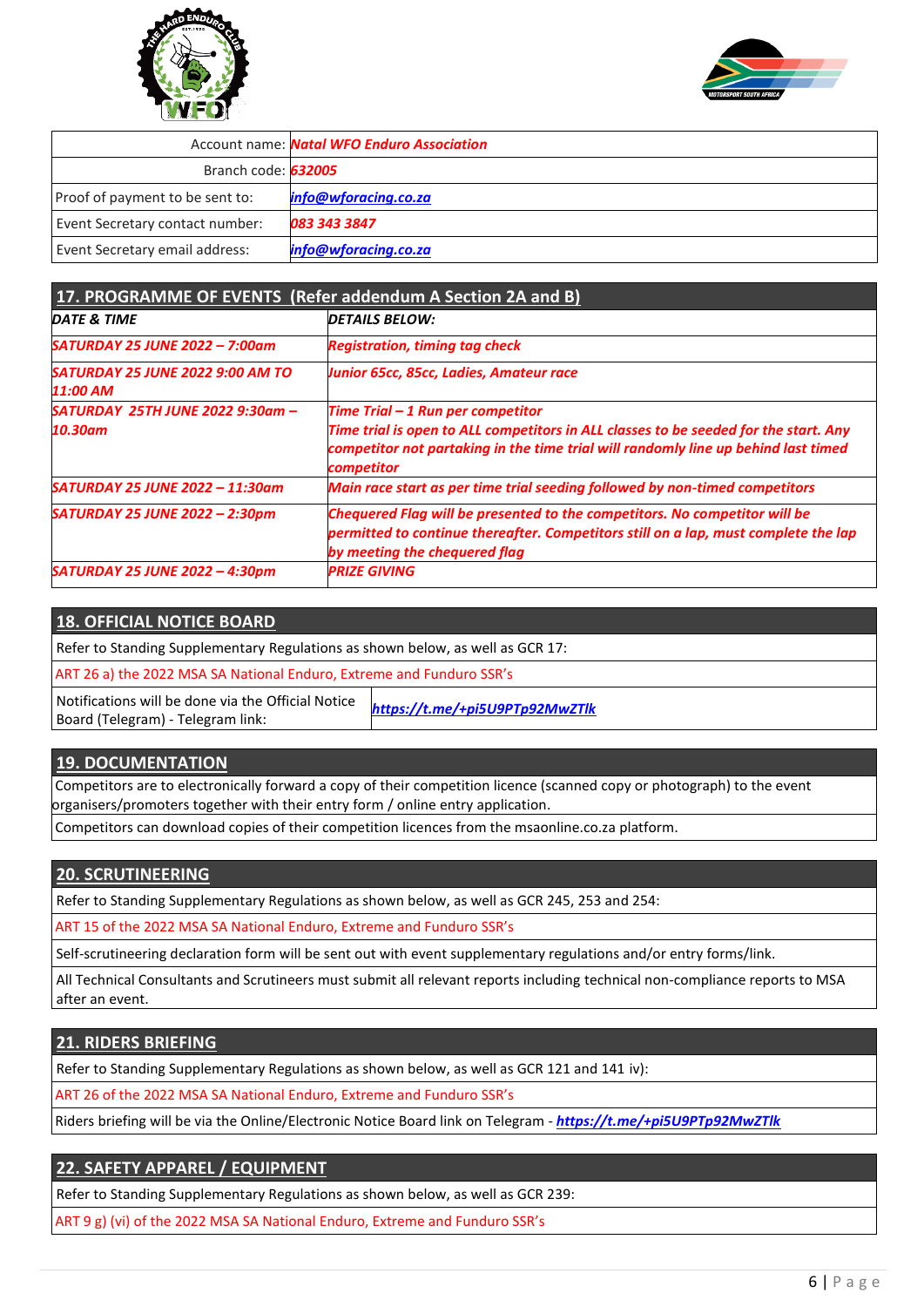



|                                 | <b>Account name: Natal WFO Enduro Association</b> |
|---------------------------------|---------------------------------------------------|
| Branch code: 632005             |                                                   |
| Proof of payment to be sent to: | info@wforacing.co.za                              |
| Event Secretary contact number: | 083 343 3847                                      |
| Event Secretary email address:  | info@wforacing.co.za                              |

| 17. PROGRAMME OF EVENTS (Refer addendum A Section 2A and B) |                                                                                                                                                                                                           |  |  |
|-------------------------------------------------------------|-----------------------------------------------------------------------------------------------------------------------------------------------------------------------------------------------------------|--|--|
| DATE & TIME                                                 | <b>DETAILS BELOW:</b>                                                                                                                                                                                     |  |  |
| SATURDAY 25 JUNE 2022 - 7:00am                              | <b>Registration, timing tag check</b>                                                                                                                                                                     |  |  |
| <b>SATURDAY 25 JUNE 2022 9:00 AM TO</b><br>11:00 AM         | Junior 65cc, 85cc, Ladies, Amateur race                                                                                                                                                                   |  |  |
| SATURDAY 25TH JUNE 2022 9:30am -                            | Time Trial $-1$ Run per competitor                                                                                                                                                                        |  |  |
| <b>10.30am</b>                                              | Time trial is open to ALL competitors in ALL classes to be seeded for the start. Any<br>competitor not partaking in the time trial will randomly line up behind last timed<br>competitor                  |  |  |
| SATURDAY 25 JUNE 2022 - 11:30am                             | Main race start as per time trial seeding followed by non-timed competitors                                                                                                                               |  |  |
| SATURDAY 25 JUNE 2022 - 2:30pm                              | <b>Chequered Flag will be presented to the competitors. No competitor will be</b><br>permitted to continue thereafter. Competitors still on a lap, must complete the lap<br>by meeting the chequered flag |  |  |
| SATURDAY 25 JUNE 2022 - 4:30pm                              | <b>PRIZE GIVING</b>                                                                                                                                                                                       |  |  |

## **18. OFFICIAL NOTICE BOARD**

| Refer to Standing Supplementary Regulations as shown below, as well as GCR 17:             |                                |  |  |  |
|--------------------------------------------------------------------------------------------|--------------------------------|--|--|--|
| ART 26 a) the 2022 MSA SA National Enduro, Extreme and Funduro SSR's                       |                                |  |  |  |
| Notifications will be done via the Official Notice No<br>Board (Telegram) - Telegram link: | https://t.me/+pi5U9PTp92MwZTlk |  |  |  |

### **19. DOCUMENTATION**

Competitors are to electronically forward a copy of their competition licence (scanned copy or photograph) to the event organisers/promoters together with their entry form / online entry application.

Competitors can download copies of their competition licences from the msaonline.co.za platform.

### **20. SCRUTINEERING**

Refer to Standing Supplementary Regulations as shown below, as well as GCR 245, 253 and 254:

ART 15 of the 2022 MSA SA National Enduro, Extreme and Funduro SSR's

Self-scrutineering declaration form will be sent out with event supplementary regulations and/or entry forms/link.

All Technical Consultants and Scrutineers must submit all relevant reports including technical non-compliance reports to MSA after an event.

#### **21. RIDERS BRIEFING**

Refer to Standing Supplementary Regulations as shown below, as well as GCR 121 and 141 iv):

ART 26 of the 2022 MSA SA National Enduro, Extreme and Funduro SSR's

Riders briefing will be via the Online/Electronic Notice Board link on Telegram - *<https://t.me/+pi5U9PTp92MwZTlk>*

#### **22. SAFETY APPAREL / EQUIPMENT**

Refer to Standing Supplementary Regulations as shown below, as well as GCR 239:

ART 9 g) (vi) of the 2022 MSA SA National Enduro, Extreme and Funduro SSR's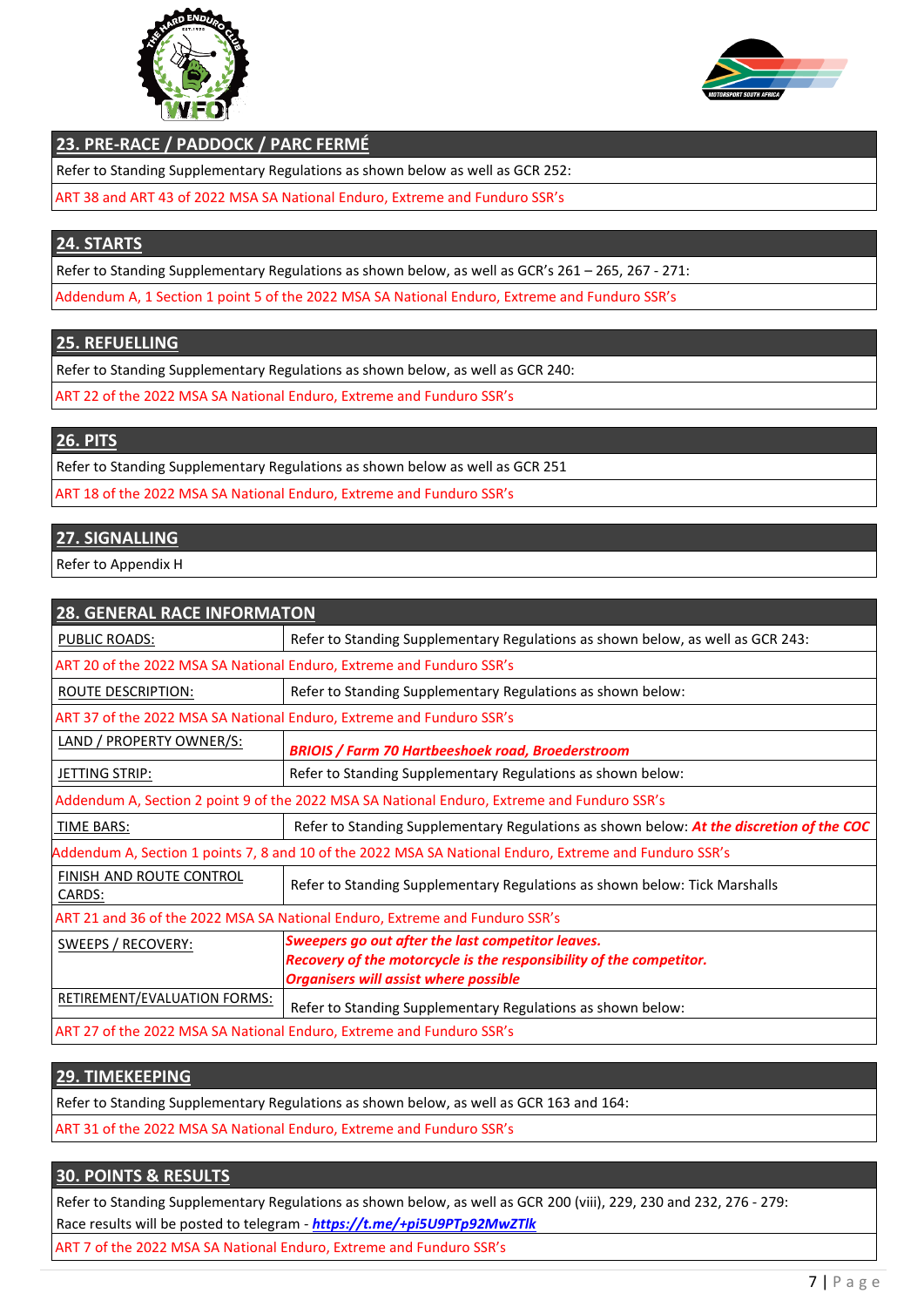



## **23. PRE-RACE / PADDOCK / PARC FERMÉ**

Refer to Standing Supplementary Regulations as shown below as well as GCR 252:

ART 38 and ART 43 of 2022 MSA SA National Enduro, Extreme and Funduro SSR's

# **24. STARTS**

Refer to Standing Supplementary Regulations as shown below, as well as GCR's 261 – 265, 267 - 271:

Addendum A, 1 Section 1 point 5 of the 2022 MSA SA National Enduro, Extreme and Funduro SSR's

# **25. REFUELLING**

Refer to Standing Supplementary Regulations as shown below, as well as GCR 240:

ART 22 of the 2022 MSA SA National Enduro, Extreme and Funduro SSR's

## **26. PITS**

Refer to Standing Supplementary Regulations as shown below as well as GCR 251 ART 18 of the 2022 MSA SA National Enduro, Extreme and Funduro SSR's

# **27. SIGNALLING**

Refer to Appendix H

| <b>28. GENERAL RACE INFORMATON</b>                                                                     |                                                                                                                                                                          |
|--------------------------------------------------------------------------------------------------------|--------------------------------------------------------------------------------------------------------------------------------------------------------------------------|
| <b>PUBLIC ROADS:</b>                                                                                   | Refer to Standing Supplementary Regulations as shown below, as well as GCR 243:                                                                                          |
| ART 20 of the 2022 MSA SA National Enduro, Extreme and Funduro SSR's                                   |                                                                                                                                                                          |
| <b>ROUTE DESCRIPTION:</b>                                                                              | Refer to Standing Supplementary Regulations as shown below:                                                                                                              |
| ART 37 of the 2022 MSA SA National Enduro, Extreme and Funduro SSR's                                   |                                                                                                                                                                          |
| LAND / PROPERTY OWNER/S:                                                                               | <b>BRIOIS / Farm 70 Hartbeeshoek road, Broederstroom</b>                                                                                                                 |
| JETTING STRIP:                                                                                         | Refer to Standing Supplementary Regulations as shown below:                                                                                                              |
| Addendum A, Section 2 point 9 of the 2022 MSA SA National Enduro, Extreme and Funduro SSR's            |                                                                                                                                                                          |
| <b>TIME BARS:</b>                                                                                      | Refer to Standing Supplementary Regulations as shown below: At the discretion of the COC                                                                                 |
| Addendum A, Section 1 points 7, 8 and 10 of the 2022 MSA SA National Enduro, Extreme and Funduro SSR's |                                                                                                                                                                          |
| <b>FINISH AND ROUTE CONTROL</b><br>CARDS:                                                              | Refer to Standing Supplementary Regulations as shown below: Tick Marshalls                                                                                               |
| ART 21 and 36 of the 2022 MSA SA National Enduro, Extreme and Funduro SSR's                            |                                                                                                                                                                          |
| SWEEPS / RECOVERY:                                                                                     | Sweepers go out after the last competitor leaves.<br>Recovery of the motorcycle is the responsibility of the competitor.<br><b>Organisers will assist where possible</b> |
| <b>RETIREMENT/EVALUATION FORMS:</b>                                                                    | Refer to Standing Supplementary Regulations as shown below:                                                                                                              |
| ART 27 of the 2022 MSA SA National Enduro, Extreme and Funduro SSR's                                   |                                                                                                                                                                          |

## **29. TIMEKEEPING**

Refer to Standing Supplementary Regulations as shown below, as well as GCR 163 and 164:

ART 31 of the 2022 MSA SA National Enduro, Extreme and Funduro SSR's

## **30. POINTS & RESULTS**

Refer to Standing Supplementary Regulations as shown below, as well as GCR 200 (viii), 229, 230 and 232, 276 - 279: Race results will be posted to telegram - *<https://t.me/+pi5U9PTp92MwZTlk>*

ART 7 of the 2022 MSA SA National Enduro, Extreme and Funduro SSR's